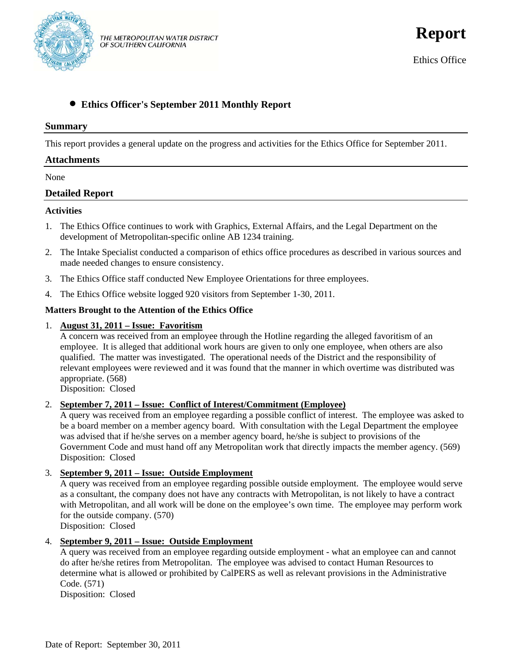

**Report**

Ethics Office

# • **Ethics Officer's September 2011 Monthly Report**

#### **Summary**

This report provides a general update on the progress and activities for the Ethics Office for September 2011.

## **Attachments**

None

# **Detailed Report**

#### **Activities**

- 1. The Ethics Office continues to work with Graphics, External Affairs, and the Legal Department on the development of Metropolitan-specific online AB 1234 training.
- 2. The Intake Specialist conducted a comparison of ethics office procedures as described in various sources and made needed changes to ensure consistency.
- 3. The Ethics Office staff conducted New Employee Orientations for three employees.
- 4. The Ethics Office website logged 920 visitors from September 1-30, 2011.

# **Matters Brought to the Attention of the Ethics Office**

#### 1. **August 31, 2011 – Issue: Favoritism**

A concern was received from an employee through the Hotline regarding the alleged favoritism of an employee. It is alleged that additional work hours are given to only one employee, when others are also qualified. The matter was investigated. The operational needs of the District and the responsibility of relevant employees were reviewed and it was found that the manner in which overtime was distributed was appropriate. (568)

Disposition: Closed

# 2. **September 7, 2011 – Issue: Conflict of Interest/Commitment (Employee)**

A query was received from an employee regarding a possible conflict of interest. The employee was asked to be a board member on a member agency board. With consultation with the Legal Department the employee was advised that if he/she serves on a member agency board, he/she is subject to provisions of the Government Code and must hand off any Metropolitan work that directly impacts the member agency. (569) Disposition: Closed

# 3. **September 9, 2011 – Issue: Outside Employment**

A query was received from an employee regarding possible outside employment. The employee would serve as a consultant, the company does not have any contracts with Metropolitan, is not likely to have a contract with Metropolitan, and all work will be done on the employee's own time. The employee may perform work for the outside company. (570)

Disposition: Closed

# 4. **September 9, 2011 – Issue: Outside Employment**

A query was received from an employee regarding outside employment - what an employee can and cannot do after he/she retires from Metropolitan. The employee was advised to contact Human Resources to determine what is allowed or prohibited by CalPERS as well as relevant provisions in the Administrative Code. (571)

Disposition: Closed